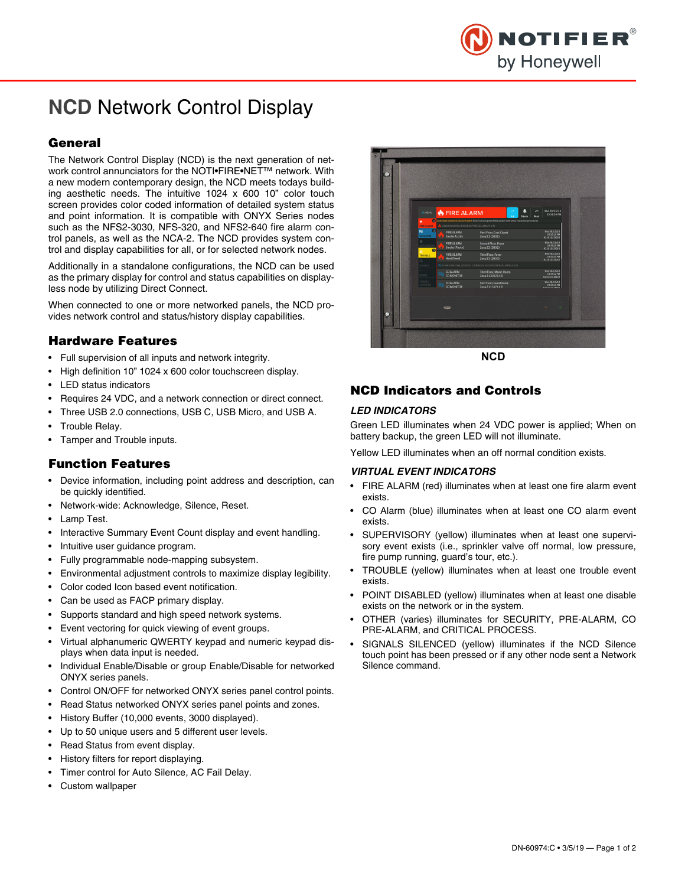

# **NCD** Network Control Display

## **General**

The Network Control Display (NCD) is the next generation of network control annunciators for the NOTI•FIRE•NET™ network. With a new modern contemporary design, the NCD meets todays building aesthetic needs. The intuitive 1024 x 600 10" color touch screen provides color coded information of detailed system status and point information. It is compatible with ONYX Series nodes such as the NFS2-3030, NFS-320, and NFS2-640 fire alarm control panels, as well as the NCA-2. The NCD provides system control and display capabilities for all, or for selected network nodes.

Additionally in a standalone configurations, the NCD can be used as the primary display for control and status capabilities on displayless node by utilizing Direct Connect.

When connected to one or more networked panels, the NCD provides network control and status/history display capabilities.

## **Hardware Features**

- Full supervision of all inputs and network integrity.
- High definition 10" 1024 x 600 color touchscreen display.
- LED status indicators
- Requires 24 VDC, and a network connection or direct connect.
- Three USB 2.0 connections, USB C, USB Micro, and USB A.
- Trouble Relay.
- Tamper and Trouble inputs.

#### **Function Features**

- Device information, including point address and description, can be quickly identified.
- Network-wide: Acknowledge, Silence, Reset.
- Lamp Test.
- Interactive Summary Event Count display and event handling.
- Intuitive user guidance program.
- Fully programmable node-mapping subsystem.
- Environmental adjustment controls to maximize display legibility.
- Color coded Icon based event notification.
- Can be used as FACP primary display.
- Supports standard and high speed network systems.
- Event vectoring for quick viewing of event groups.
- Virtual alphanumeric QWERTY keypad and numeric keypad displays when data input is needed.
- Individual Enable/Disable or group Enable/Disable for networked ONYX series panels.
- Control ON/OFF for networked ONYX series panel control points.
- Read Status networked ONYX series panel points and zones.
- History Buffer (10,000 events, 3000 displayed).
- Up to 50 unique users and 5 different user levels.
- Read Status from event display.
- History filters for report displaying.
- Timer control for Auto Silence, AC Fail Delay.
- Custom wallpaper



## **NCD Indicators and Controls**

#### *LED INDICATORS*

Green LED illuminates when 24 VDC power is applied; When on battery backup, the green LED will not illuminate.

Yellow LED illuminates when an off normal condition exists.

#### *VIRTUAL EVENT INDICATORS*

- FIRE ALARM (red) illuminates when at least one fire alarm event exists.
- CO Alarm (blue) illuminates when at least one CO alarm event exists.
- SUPERVISORY (yellow) illuminates when at least one supervisory event exists (i.e., sprinkler valve off normal, low pressure, fire pump running, guard's tour, etc.).
- TROUBLE (yellow) illuminates when at least one trouble event exists.
- POINT DISABLED (yellow) illuminates when at least one disable exists on the network or in the system.
- OTHER (varies) illuminates for SECURITY, PRE-ALARM, CO PRE-ALARM, and CRITICAL PROCESS.
- SIGNALS SILENCED (yellow) illuminates if the NCD Silence touch point has been pressed or if any other node sent a Network Silence command.